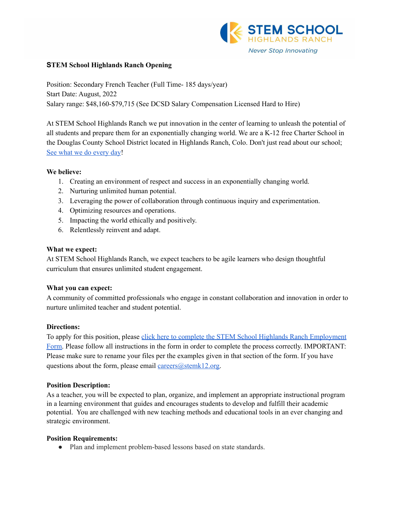

# **STEM School Highlands Ranch Opening**

Position: Secondary French Teacher (Full Time- 185 days/year) Start Date: August, 2022 Salary range: \$48,160-\$79,715 (See DCSD Salary Compensation Licensed Hard to Hire)

At STEM School Highlands Ranch we put innovation in the center of learning to unleash the potential of all students and prepare them for an exponentially changing world. We are a K-12 free Charter School in the Douglas County School District located in Highlands Ranch, Colo. Don't just read about our school; See what we do [every](https://www.youtube.com/channel/UCEjas5mnML_7D6bnjE6cBXQ) day!

# **We believe:**

- 1. Creating an environment of respect and success in an exponentially changing world.
- 2. Nurturing unlimited human potential.
- 3. Leveraging the power of collaboration through continuous inquiry and experimentation.
- 4. Optimizing resources and operations.
- 5. Impacting the world ethically and positively.
- 6. Relentlessly reinvent and adapt.

# **What we expect:**

At STEM School Highlands Ranch, we expect teachers to be agile learners who design thoughtful curriculum that ensures unlimited student engagement.

# **What you can expect:**

A community of committed professionals who engage in constant collaboration and innovation in order to nurture unlimited teacher and student potential.

# **Directions:**

To apply for this position, please click here to complete the STEM School Highlands Ranch [Employment](https://docs.google.com/forms/d/e/1FAIpQLSfix8N5Y4r8UN-EoNntuUI_3ZGfalCIW_KiKAja-s9jkUit8g/viewform?usp=sf_link) [Form.](https://docs.google.com/forms/d/e/1FAIpQLSfix8N5Y4r8UN-EoNntuUI_3ZGfalCIW_KiKAja-s9jkUit8g/viewform?usp=sf_link) Please follow all instructions in the form in order to complete the process correctly. IMPORTANT: Please make sure to rename your files per the examples given in that section of the form. If you have questions about the form, please email careers $@$ stemk12.org.

#### **Position Description:**

As a teacher, you will be expected to plan, organize, and implement an appropriate instructional program in a learning environment that guides and encourages students to develop and fulfill their academic potential. You are challenged with new teaching methods and educational tools in an ever changing and strategic environment.

#### **Position Requirements:**

• Plan and implement problem-based lessons based on state standards.